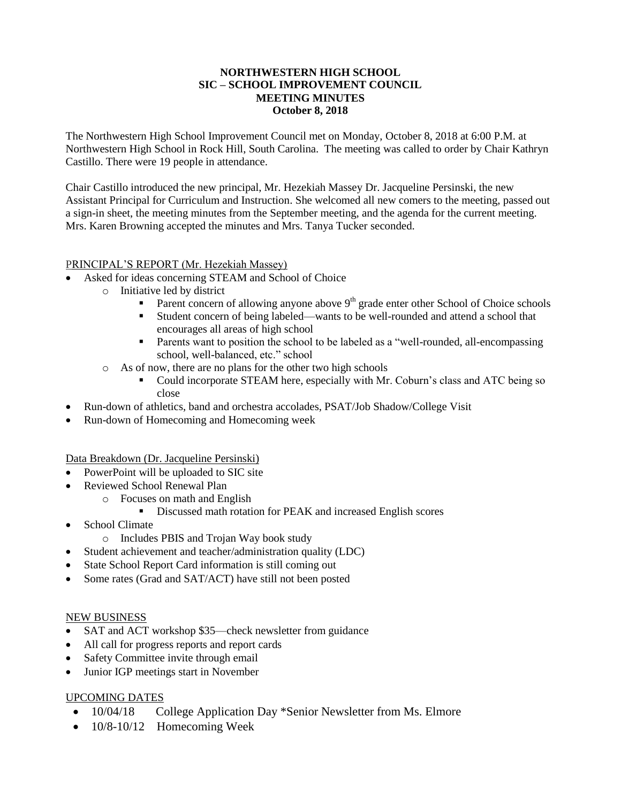### **NORTHWESTERN HIGH SCHOOL SIC – SCHOOL IMPROVEMENT COUNCIL MEETING MINUTES October 8, 2018**

The Northwestern High School Improvement Council met on Monday, October 8, 2018 at 6:00 P.M. at Northwestern High School in Rock Hill, South Carolina. The meeting was called to order by Chair Kathryn Castillo. There were 19 people in attendance.

Chair Castillo introduced the new principal, Mr. Hezekiah Massey Dr. Jacqueline Persinski, the new Assistant Principal for Curriculum and Instruction. She welcomed all new comers to the meeting, passed out a sign-in sheet, the meeting minutes from the September meeting, and the agenda for the current meeting. Mrs. Karen Browning accepted the minutes and Mrs. Tanya Tucker seconded.

## PRINCIPAL'S REPORT (Mr. Hezekiah Massey)

- Asked for ideas concerning STEAM and School of Choice
	- o Initiative led by district
		- Parent concern of allowing anyone above  $9<sup>th</sup>$  grade enter other School of Choice schools
		- Student concern of being labeled—wants to be well-rounded and attend a school that encourages all areas of high school
		- **Parents want to position the school to be labeled as a "well-rounded, all-encompassing** school, well-balanced, etc." school
	- o As of now, there are no plans for the other two high schools
		- Could incorporate STEAM here, especially with Mr. Coburn's class and ATC being so close
- Run-down of athletics, band and orchestra accolades, PSAT/Job Shadow/College Visit
- Run-down of Homecoming and Homecoming week

Data Breakdown (Dr. Jacqueline Persinski)

- PowerPoint will be uploaded to SIC site
- Reviewed School Renewal Plan
	- o Focuses on math and English
		- Discussed math rotation for PEAK and increased English scores
- School Climate
	- o Includes PBIS and Trojan Way book study
- Student achievement and teacher/administration quality (LDC)
- State School Report Card information is still coming out
- Some rates (Grad and SAT/ACT) have still not been posted

### NEW BUSINESS

- SAT and ACT workshop \$35—check newsletter from guidance
- All call for progress reports and report cards
- Safety Committee invite through email
- Junior IGP meetings start in November

### UPCOMING DATES

- 10/04/18 College Application Day \*Senior Newsletter from Ms. Elmore
- $\bullet$  10/8-10/12 Homecoming Week